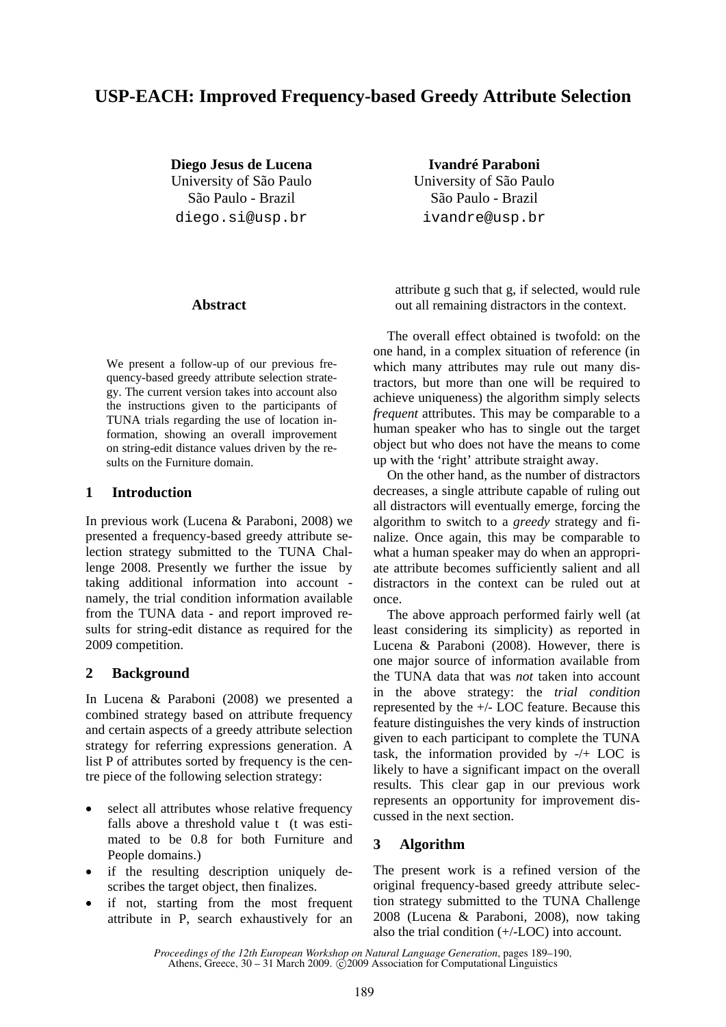# **USP-EACH: Improved Frequency-based Greedy Attribute Selection**

**Diego Jesus de Lucena**  University of São Paulo São Paulo - Brazil diego.si@usp.br

**Abstract** 

We present a follow-up of our previous frequency-based greedy attribute selection strategy. The current version takes into account also the instructions given to the participants of TUNA trials regarding the use of location information, showing an overall improvement on string-edit distance values driven by the results on the Furniture domain.

## **1 Introduction**

In previous work (Lucena & Paraboni, 2008) we presented a frequency-based greedy attribute selection strategy submitted to the TUNA Challenge 2008. Presently we further the issue by taking additional information into account namely, the trial condition information available from the TUNA data - and report improved results for string-edit distance as required for the 2009 competition.

## **2 Background**

In Lucena & Paraboni (2008) we presented a combined strategy based on attribute frequency and certain aspects of a greedy attribute selection strategy for referring expressions generation. A list P of attributes sorted by frequency is the centre piece of the following selection strategy:

- select all attributes whose relative frequency falls above a threshold value t (t was estimated to be 0.8 for both Furniture and People domains.)
- if the resulting description uniquely describes the target object, then finalizes.
- if not, starting from the most frequent attribute in P, search exhaustively for an

**Ivandré Paraboni**  University of São Paulo São Paulo - Brazil ivandre@usp.br

attribute g such that g, if selected, would rule out all remaining distractors in the context.

The overall effect obtained is twofold: on the one hand, in a complex situation of reference (in which many attributes may rule out many distractors, but more than one will be required to achieve uniqueness) the algorithm simply selects *frequent* attributes. This may be comparable to a human speaker who has to single out the target object but who does not have the means to come up with the 'right' attribute straight away.

On the other hand, as the number of distractors decreases, a single attribute capable of ruling out all distractors will eventually emerge, forcing the algorithm to switch to a *greedy* strategy and finalize. Once again, this may be comparable to what a human speaker may do when an appropriate attribute becomes sufficiently salient and all distractors in the context can be ruled out at once.

The above approach performed fairly well (at least considering its simplicity) as reported in Lucena & Paraboni (2008). However, there is one major source of information available from the TUNA data that was *not* taken into account in the above strategy: the *trial condition* represented by the +/- LOC feature. Because this feature distinguishes the very kinds of instruction given to each participant to complete the TUNA task, the information provided by -/+ LOC is likely to have a significant impact on the overall results. This clear gap in our previous work represents an opportunity for improvement discussed in the next section.

## **3 Algorithm**

The present work is a refined version of the original frequency-based greedy attribute selection strategy submitted to the TUNA Challenge 2008 (Lucena & Paraboni, 2008), now taking also the trial condition (+/-LOC) into account.

*Proceedings of the 12th European Workshop on Natural Language Generation*, pages 189–190, Athens, Greece, 30 – 31 March 2009. © 2009 Association for Computational Linguistics